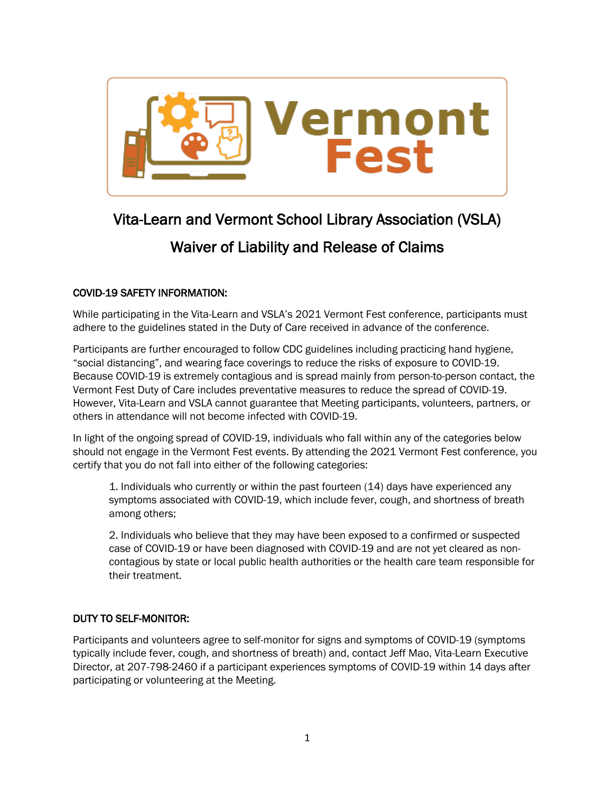

# Vita-Learn and Vermont School Library Association (VSLA) Waiver of Liability and Release of Claims

## COVID-19 SAFETY INFORMATION:

While participating in the Vita-Learn and VSLA's 2021 Vermont Fest conference, participants must adhere to the guidelines stated in the Duty of Care received in advance of the conference.

Participants are further encouraged to follow CDC guidelines including practicing hand hygiene, "social distancing", and wearing face coverings to reduce the risks of exposure to COVID-19. Because COVID-19 is extremely contagious and is spread mainly from person-to-person contact, the Vermont Fest Duty of Care includes preventative measures to reduce the spread of COVID-19. However, Vita-Learn and VSLA cannot guarantee that Meeting participants, volunteers, partners, or others in attendance will not become infected with COVID-19.

In light of the ongoing spread of COVID-19, individuals who fall within any of the categories below should not engage in the Vermont Fest events. By attending the 2021 Vermont Fest conference, you certify that you do not fall into either of the following categories:

1. Individuals who currently or within the past fourteen (14) days have experienced any symptoms associated with COVID-19, which include fever, cough, and shortness of breath among others;

2. Individuals who believe that they may have been exposed to a confirmed or suspected case of COVID-19 or have been diagnosed with COVID-19 and are not yet cleared as noncontagious by state or local public health authorities or the health care team responsible for their treatment.

## DUTY TO SELF-MONITOR:

Participants and volunteers agree to self-monitor for signs and symptoms of COVID-19 (symptoms typically include fever, cough, and shortness of breath) and, contact Jeff Mao, Vita-Learn Executive Director, at 207-798-2460 if a participant experiences symptoms of COVID-19 within 14 days after participating or volunteering at the Meeting.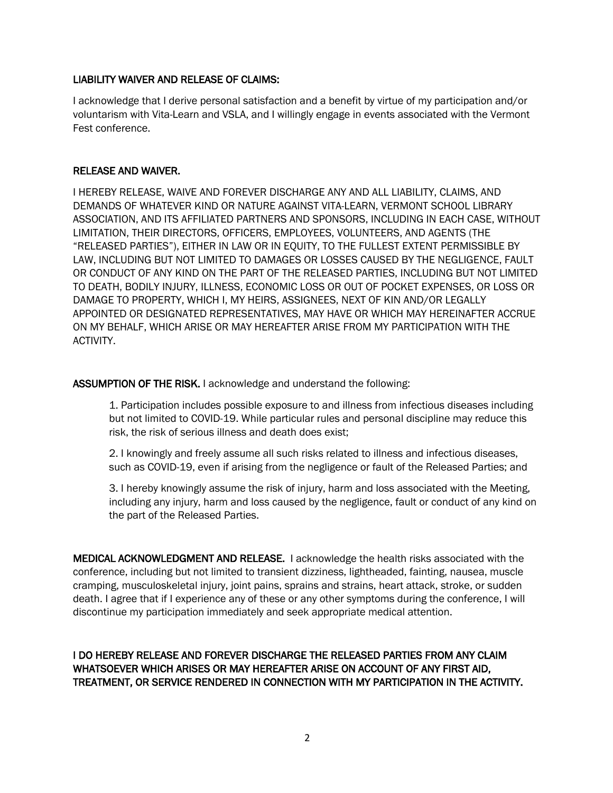#### LIABILITY WAIVER AND RELEASE OF CLAIMS:

I acknowledge that I derive personal satisfaction and a benefit by virtue of my participation and/or voluntarism with Vita-Learn and VSLA, and I willingly engage in events associated with the Vermont Fest conference.

#### RELEASE AND WAIVER.

I HEREBY RELEASE, WAIVE AND FOREVER DISCHARGE ANY AND ALL LIABILITY, CLAIMS, AND DEMANDS OF WHATEVER KIND OR NATURE AGAINST VITA-LEARN, VERMONT SCHOOL LIBRARY ASSOCIATION, AND ITS AFFILIATED PARTNERS AND SPONSORS, INCLUDING IN EACH CASE, WITHOUT LIMITATION, THEIR DIRECTORS, OFFICERS, EMPLOYEES, VOLUNTEERS, AND AGENTS (THE "RELEASED PARTIES"), EITHER IN LAW OR IN EQUITY, TO THE FULLEST EXTENT PERMISSIBLE BY LAW, INCLUDING BUT NOT LIMITED TO DAMAGES OR LOSSES CAUSED BY THE NEGLIGENCE, FAULT OR CONDUCT OF ANY KIND ON THE PART OF THE RELEASED PARTIES, INCLUDING BUT NOT LIMITED TO DEATH, BODILY INJURY, ILLNESS, ECONOMIC LOSS OR OUT OF POCKET EXPENSES, OR LOSS OR DAMAGE TO PROPERTY, WHICH I, MY HEIRS, ASSIGNEES, NEXT OF KIN AND/OR LEGALLY APPOINTED OR DESIGNATED REPRESENTATIVES, MAY HAVE OR WHICH MAY HEREINAFTER ACCRUE ON MY BEHALF, WHICH ARISE OR MAY HEREAFTER ARISE FROM MY PARTICIPATION WITH THE ACTIVITY.

#### ASSUMPTION OF THE RISK. I acknowledge and understand the following:

1. Participation includes possible exposure to and illness from infectious diseases including but not limited to COVID-19. While particular rules and personal discipline may reduce this risk, the risk of serious illness and death does exist;

2. I knowingly and freely assume all such risks related to illness and infectious diseases, such as COVID-19, even if arising from the negligence or fault of the Released Parties; and

3. I hereby knowingly assume the risk of injury, harm and loss associated with the Meeting, including any injury, harm and loss caused by the negligence, fault or conduct of any kind on the part of the Released Parties.

MEDICAL ACKNOWLEDGMENT AND RELEASE. I acknowledge the health risks associated with the conference, including but not limited to transient dizziness, lightheaded, fainting, nausea, muscle cramping, musculoskeletal injury, joint pains, sprains and strains, heart attack, stroke, or sudden death. I agree that if I experience any of these or any other symptoms during the conference, I will discontinue my participation immediately and seek appropriate medical attention.

### I DO HEREBY RELEASE AND FOREVER DISCHARGE THE RELEASED PARTIES FROM ANY CLAIM WHATSOEVER WHICH ARISES OR MAY HEREAFTER ARISE ON ACCOUNT OF ANY FIRST AID, TREATMENT, OR SERVICE RENDERED IN CONNECTION WITH MY PARTICIPATION IN THE ACTIVITY.